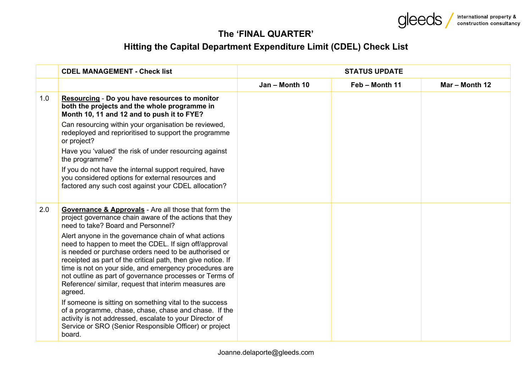**Gleeds** International property &

## **The 'FINAL QUARTER'**

## **Hitting the Capital Department Expenditure Limit (CDEL) Check List**

|     | <b>CDEL MANAGEMENT - Check list</b>                                                                                                                                                                                                                                                                                                                                                                                             | <b>STATUS UPDATE</b> |                |                |
|-----|---------------------------------------------------------------------------------------------------------------------------------------------------------------------------------------------------------------------------------------------------------------------------------------------------------------------------------------------------------------------------------------------------------------------------------|----------------------|----------------|----------------|
|     |                                                                                                                                                                                                                                                                                                                                                                                                                                 | Jan - Month 10       | Feb - Month 11 | Mar - Month 12 |
| 1.0 | <b>Resourcing - Do you have resources to monitor</b><br>both the projects and the whole programme in<br>Month 10, 11 and 12 and to push it to FYE?                                                                                                                                                                                                                                                                              |                      |                |                |
|     | Can resourcing within your organisation be reviewed,<br>redeployed and reprioritised to support the programme<br>or project?                                                                                                                                                                                                                                                                                                    |                      |                |                |
|     | Have you 'valued' the risk of under resourcing against<br>the programme?                                                                                                                                                                                                                                                                                                                                                        |                      |                |                |
|     | If you do not have the internal support required, have<br>you considered options for external resources and<br>factored any such cost against your CDEL allocation?                                                                                                                                                                                                                                                             |                      |                |                |
| 2.0 | <b>Governance &amp; Approvals</b> - Are all those that form the<br>project governance chain aware of the actions that they<br>need to take? Board and Personnel?                                                                                                                                                                                                                                                                |                      |                |                |
|     | Alert anyone in the governance chain of what actions<br>need to happen to meet the CDEL. If sign off/approval<br>is needed or purchase orders need to be authorised or<br>receipted as part of the critical path, then give notice. If<br>time is not on your side, and emergency procedures are<br>not outline as part of governance processes or Terms of<br>Reference/ similar, request that interim measures are<br>agreed. |                      |                |                |
|     | If someone is sitting on something vital to the success<br>of a programme, chase, chase, chase and chase. If the<br>activity is not addressed, escalate to your Director of<br>Service or SRO (Senior Responsible Officer) or project<br>board.                                                                                                                                                                                 |                      |                |                |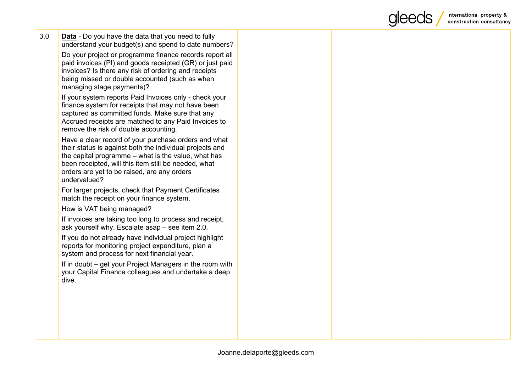

| 3.0 | <b>Data</b> - Do you have the data that you need to fully<br>understand your budget(s) and spend to date numbers?<br>Do your project or programme finance records report all<br>paid invoices (PI) and goods receipted (GR) or just paid<br>invoices? Is there any risk of ordering and receipts<br>being missed or double accounted (such as when<br>managing stage payments)?<br>If your system reports Paid Invoices only - check your<br>finance system for receipts that may not have been<br>captured as committed funds. Make sure that any<br>Accrued receipts are matched to any Paid Invoices to<br>remove the risk of double accounting. |  |  |
|-----|-----------------------------------------------------------------------------------------------------------------------------------------------------------------------------------------------------------------------------------------------------------------------------------------------------------------------------------------------------------------------------------------------------------------------------------------------------------------------------------------------------------------------------------------------------------------------------------------------------------------------------------------------------|--|--|
|     | Have a clear record of your purchase orders and what<br>their status is against both the individual projects and<br>the capital programme – what is the value, what has<br>been receipted, will this item still be needed, what<br>orders are yet to be raised, are any orders<br>undervalued?                                                                                                                                                                                                                                                                                                                                                      |  |  |
|     | For larger projects, check that Payment Certificates<br>match the receipt on your finance system.                                                                                                                                                                                                                                                                                                                                                                                                                                                                                                                                                   |  |  |
|     | How is VAT being managed?                                                                                                                                                                                                                                                                                                                                                                                                                                                                                                                                                                                                                           |  |  |
|     | If invoices are taking too long to process and receipt,<br>ask yourself why. Escalate asap - see item 2.0.                                                                                                                                                                                                                                                                                                                                                                                                                                                                                                                                          |  |  |
|     | If you do not already have individual project highlight<br>reports for monitoring project expenditure, plan a<br>system and process for next financial year.                                                                                                                                                                                                                                                                                                                                                                                                                                                                                        |  |  |
|     | If in doubt – get your Project Managers in the room with<br>your Capital Finance colleagues and undertake a deep<br>dive.                                                                                                                                                                                                                                                                                                                                                                                                                                                                                                                           |  |  |
|     |                                                                                                                                                                                                                                                                                                                                                                                                                                                                                                                                                                                                                                                     |  |  |
|     |                                                                                                                                                                                                                                                                                                                                                                                                                                                                                                                                                                                                                                                     |  |  |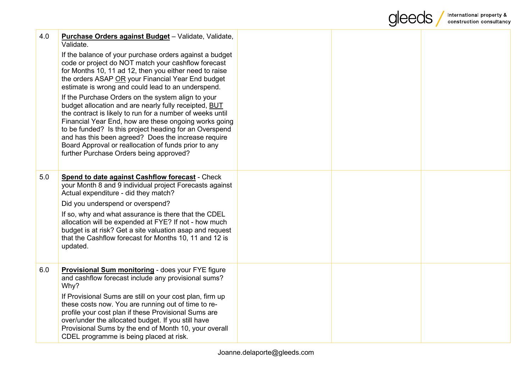|     |                                                                                                                                                                                                                                                                                                                                                                                                                                                       |  | International property &<br>construction consultancy |
|-----|-------------------------------------------------------------------------------------------------------------------------------------------------------------------------------------------------------------------------------------------------------------------------------------------------------------------------------------------------------------------------------------------------------------------------------------------------------|--|------------------------------------------------------|
| 4.0 | Purchase Orders against Budget - Validate, Validate,<br>Validate.                                                                                                                                                                                                                                                                                                                                                                                     |  |                                                      |
|     | If the balance of your purchase orders against a budget<br>code or project do NOT match your cashflow forecast<br>for Months 10, 11 ad 12, then you either need to raise<br>the orders ASAP OR your Financial Year End budget<br>estimate is wrong and could lead to an underspend.                                                                                                                                                                   |  |                                                      |
|     | If the Purchase Orders on the system align to your<br>budget allocation and are nearly fully receipted, BUT<br>the contract is likely to run for a number of weeks until<br>Financial Year End, how are these ongoing works going<br>to be funded? Is this project heading for an Overspend<br>and has this been agreed? Does the increase require<br>Board Approval or reallocation of funds prior to any<br>further Purchase Orders being approved? |  |                                                      |
| 5.0 | <b>Spend to date against Cashflow forecast - Check</b><br>your Month 8 and 9 individual project Forecasts against<br>Actual expenditure - did they match?                                                                                                                                                                                                                                                                                             |  |                                                      |
|     | Did you underspend or overspend?                                                                                                                                                                                                                                                                                                                                                                                                                      |  |                                                      |
|     | If so, why and what assurance is there that the CDEL<br>allocation will be expended at FYE? If not - how much<br>budget is at risk? Get a site valuation asap and request<br>that the Cashflow forecast for Months 10, 11 and 12 is<br>updated.                                                                                                                                                                                                       |  |                                                      |
| 6.0 | <b>Provisional Sum monitoring - does your FYE figure</b><br>and cashflow forecast include any provisional sums?<br>Why?                                                                                                                                                                                                                                                                                                                               |  |                                                      |
|     | If Provisional Sums are still on your cost plan, firm up<br>these costs now. You are running out of time to re-<br>profile your cost plan if these Provisional Sums are<br>over/under the allocated budget. If you still have<br>Provisional Sums by the end of Month 10, your overall<br>CDEL programme is being placed at risk.                                                                                                                     |  |                                                      |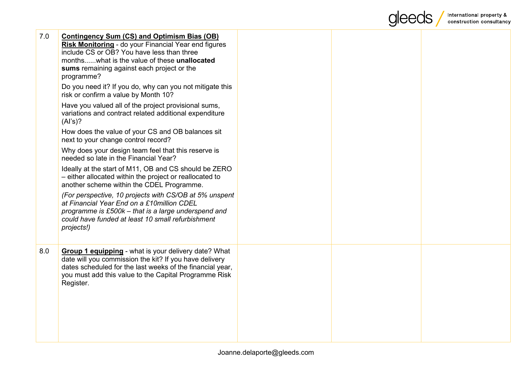

| 7.0 | <b>Contingency Sum (CS) and Optimism Bias (OB)</b><br>Risk Monitoring - do your Financial Year end figures<br>include CS or OB? You have less than three<br>monthswhat is the value of these <b>unallocated</b><br>sums remaining against each project or the<br>programme? |  |  |
|-----|-----------------------------------------------------------------------------------------------------------------------------------------------------------------------------------------------------------------------------------------------------------------------------|--|--|
|     | Do you need it? If you do, why can you not mitigate this<br>risk or confirm a value by Month 10?                                                                                                                                                                            |  |  |
|     | Have you valued all of the project provisional sums,<br>variations and contract related additional expenditure<br>(AI's)?                                                                                                                                                   |  |  |
|     | How does the value of your CS and OB balances sit<br>next to your change control record?                                                                                                                                                                                    |  |  |
|     | Why does your design team feel that this reserve is<br>needed so late in the Financial Year?                                                                                                                                                                                |  |  |
|     | Ideally at the start of M11, OB and CS should be ZERO<br>- either allocated within the project or reallocated to<br>another scheme within the CDEL Programme.                                                                                                               |  |  |
|     | (For perspective, 10 projects with CS/OB at 5% unspent<br>at Financial Year End on a £10million CDEL<br>programme is £500k - that is a large underspend and<br>could have funded at least 10 small refurbishment<br>projects!)                                              |  |  |
| 8.0 | <b>Group 1 equipping</b> - what is your delivery date? What<br>date will you commission the kit? If you have delivery<br>dates scheduled for the last weeks of the financial year,<br>you must add this value to the Capital Programme Risk<br>Register.                    |  |  |
|     |                                                                                                                                                                                                                                                                             |  |  |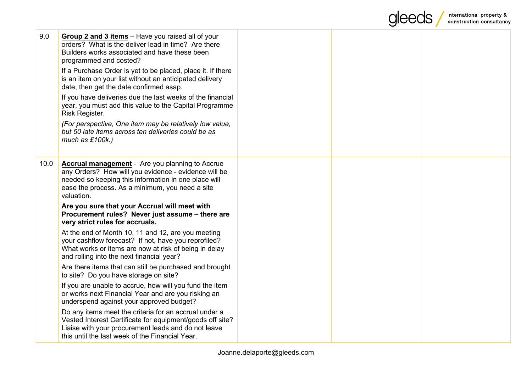

| 9.0  | <b>Group 2 and 3 items</b> – Have you raised all of your<br>orders? What is the deliver lead in time? Are there<br>Builders works associated and have these been<br>programmed and costed?                                              |  |  |
|------|-----------------------------------------------------------------------------------------------------------------------------------------------------------------------------------------------------------------------------------------|--|--|
|      | If a Purchase Order is yet to be placed, place it. If there<br>is an item on your list without an anticipated delivery<br>date, then get the date confirmed asap.                                                                       |  |  |
|      | If you have deliveries due the last weeks of the financial<br>year, you must add this value to the Capital Programme<br>Risk Register.                                                                                                  |  |  |
|      | (For perspective, One item may be relatively low value,<br>but 50 late items across ten deliveries could be as<br>much as £100k.)                                                                                                       |  |  |
| 10.0 | <b>Accrual management</b> - Are you planning to Accrue<br>any Orders? How will you evidence - evidence will be<br>needed so keeping this information in one place will<br>ease the process. As a minimum, you need a site<br>valuation. |  |  |
|      | Are you sure that your Accrual will meet with<br>Procurement rules? Never just assume - there are<br>very strict rules for accruals.                                                                                                    |  |  |
|      | At the end of Month 10, 11 and 12, are you meeting<br>your cashflow forecast? If not, have you reprofiled?<br>What works or items are now at risk of being in delay<br>and rolling into the next financial year?                        |  |  |
|      | Are there items that can still be purchased and brought<br>to site? Do you have storage on site?                                                                                                                                        |  |  |
|      | If you are unable to accrue, how will you fund the item<br>or works next Financial Year and are you risking an<br>underspend against your approved budget?                                                                              |  |  |
|      | Do any items meet the criteria for an accrual under a<br>Vested Interest Certificate for equipment/goods off site?<br>Liaise with your procurement leads and do not leave<br>this until the last week of the Financial Year.            |  |  |